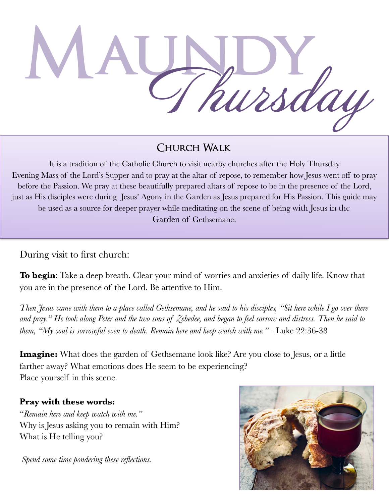**Maundy** Thursday

## **Church Walk**

It is a tradition of the Catholic Church to visit nearby churches after the Holy Thursday Evening Mass of the Lord's Supper and to pray at the altar of repose, to remember how Jesus went off to pray before the Passion. We pray at these beautifully prepared altars of repose to be in the presence of the Lord, just as His disciples were during Jesus' Agony in the Garden as Jesus prepared for His Passion. This guide may be used as a source for deeper prayer while meditating on the scene of being with Jesus in the Garden of Gethsemane.

During visit to first church:

**To begin**: Take a deep breath. Clear your mind of worries and anxieties of daily life. Know that you are in the presence of the Lord. Be attentive to Him.

*Then Jesus came with them to a place called Gethsemane, and he said to his disciples, "Sit here while I go over there and pray." He took along Peter and the two sons of Zebedee, and began to feel sorrow and distress. Then he said to them, "My soul is sorrowful even to death. Remain here and keep watch with me.*" - Luke 22:36-38

**Imagine:** What does the garden of Gethsemane look like? Are you close to Jesus, or a little farther away? What emotions does He seem to be experiencing? Place yourself in this scene.

## **Pray with these words:**

"*Remain here and keep watch with me."*  Why is Jesus asking you to remain with Him? What is He telling you?

 *Spend some time pondering these reflections.*